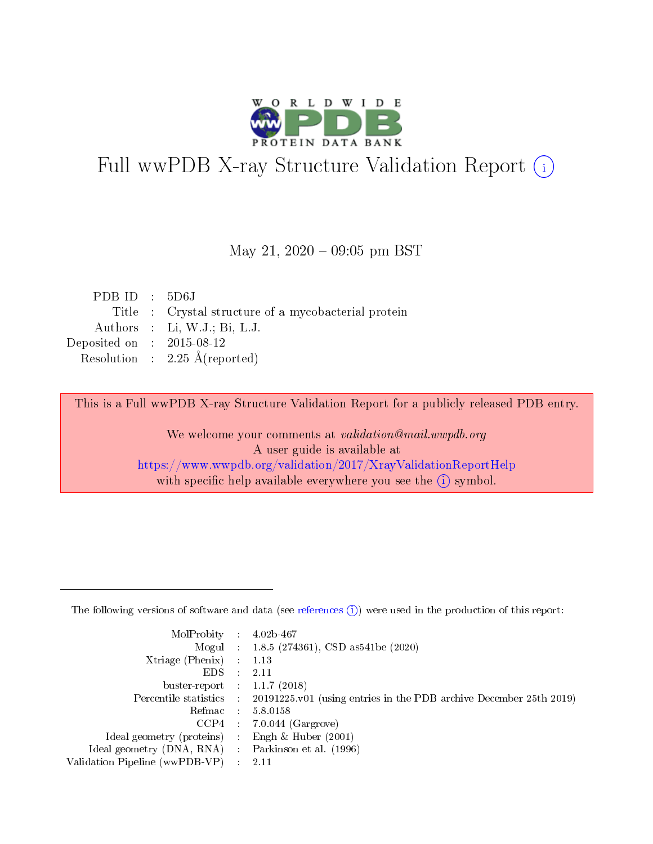

# Full wwPDB X-ray Structure Validation Report (i)

### May 21,  $2020 - 09:05$  pm BST

| PDBID : 5D6J                |                                                      |
|-----------------------------|------------------------------------------------------|
|                             | Title : Crystal structure of a mycobacterial protein |
|                             | Authors : Li, W.J.; Bi, L.J.                         |
| Deposited on : $2015-08-12$ |                                                      |
|                             | Resolution : $2.25 \text{ Å}$ (reported)             |
|                             |                                                      |

This is a Full wwPDB X-ray Structure Validation Report for a publicly released PDB entry.

We welcome your comments at validation@mail.wwpdb.org A user guide is available at <https://www.wwpdb.org/validation/2017/XrayValidationReportHelp> with specific help available everywhere you see the  $(i)$  symbol.

The following versions of software and data (see [references](https://www.wwpdb.org/validation/2017/XrayValidationReportHelp#references)  $(1)$ ) were used in the production of this report:

| MolProbity :                   |               | $4.02b - 467$                                                               |
|--------------------------------|---------------|-----------------------------------------------------------------------------|
|                                |               | Mogul : $1.8.5$ (274361), CSD as 541be (2020)                               |
| $X$ triage (Phenix) :          |               | 1.13                                                                        |
| EDS.                           |               | 2.11                                                                        |
| buster-report : $1.1.7$ (2018) |               |                                                                             |
| Percentile statistics :        |               | $20191225 \text{v}01$ (using entries in the PDB archive December 25th 2019) |
| Refmac :                       |               | 5.8.0158                                                                    |
| $CCP4$ :                       |               | $7.0.044$ (Gargrove)                                                        |
| Ideal geometry (proteins) :    |               | Engh $\&$ Huber (2001)                                                      |
| Ideal geometry (DNA, RNA) :    |               | Parkinson et al. (1996)                                                     |
| Validation Pipeline (wwPDB-VP) | $\mathcal{L}$ | 2.11                                                                        |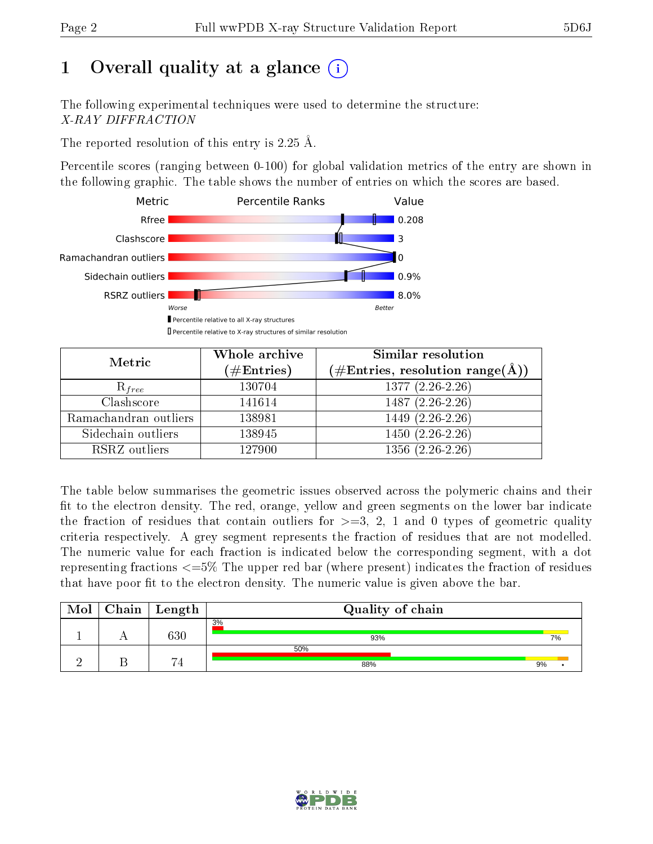# 1 [O](https://www.wwpdb.org/validation/2017/XrayValidationReportHelp#overall_quality)verall quality at a glance  $(i)$

The following experimental techniques were used to determine the structure: X-RAY DIFFRACTION

The reported resolution of this entry is 2.25 Å.

Percentile scores (ranging between 0-100) for global validation metrics of the entry are shown in the following graphic. The table shows the number of entries on which the scores are based.



| Metric                | Whole archive<br>$(\#\text{Entries})$ | Similar resolution<br>$(\#\text{Entries}, \text{resolution range}(\text{\AA}))$ |
|-----------------------|---------------------------------------|---------------------------------------------------------------------------------|
| $R_{free}$            | 130704                                | $1377(2.26-2.26)$                                                               |
| Clashscore            | 141614                                | $1487(2.26-2.26)$                                                               |
| Ramachandran outliers | 138981                                | $1449$ $(2.\overline{26-2.26})$                                                 |
| Sidechain outliers    | 138945                                | $1450(2.26-2.26)$                                                               |
| RSRZ outliers         | 127900                                | $1356(2.26-2.26)$                                                               |

The table below summarises the geometric issues observed across the polymeric chains and their fit to the electron density. The red, orange, yellow and green segments on the lower bar indicate the fraction of residues that contain outliers for  $>=3, 2, 1$  and 0 types of geometric quality criteria respectively. A grey segment represents the fraction of residues that are not modelled. The numeric value for each fraction is indicated below the corresponding segment, with a dot representing fractions  $\epsilon=5\%$  The upper red bar (where present) indicates the fraction of residues that have poor fit to the electron density. The numeric value is given above the bar.

| Mol | $Chain \  Length$ | Quality of chain |    |
|-----|-------------------|------------------|----|
|     | 630               | 3%<br>93%        | 7% |
|     | -                 | 50%<br>88%       | 9% |

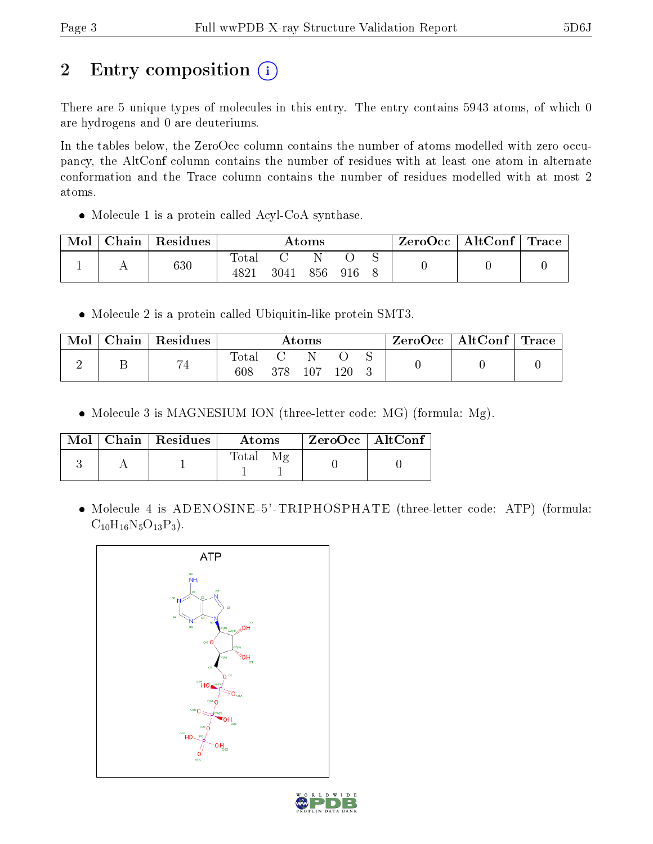# 2 Entry composition (i)

There are 5 unique types of molecules in this entry. The entry contains 5943 atoms, of which 0 are hydrogens and 0 are deuteriums.

In the tables below, the ZeroOcc column contains the number of atoms modelled with zero occupancy, the AltConf column contains the number of residues with at least one atom in alternate conformation and the Trace column contains the number of residues modelled with at most 2 atoms.

Molecule 1 is a protein called Acyl-CoA synthase.

| Mol | Chain | Residues | Atoms            |      |     | $\text{ZeroOcc}$   AltConf   Trace |  |  |  |
|-----|-------|----------|------------------|------|-----|------------------------------------|--|--|--|
|     |       |          | $\mathrm{Total}$ |      |     |                                    |  |  |  |
|     |       | $_{630}$ | $482^*$          | 3041 | 856 | 916                                |  |  |  |

Molecule 2 is a protein called Ubiquitin-like protein SMT3.

| ${\rm Chain}$ | Residues       |              | Atoms |         |  | $ZeroOcc \mid AltConf \mid Trace \mid$ |  |
|---------------|----------------|--------------|-------|---------|--|----------------------------------------|--|
|               | $\overline{ }$ | Total<br>608 |       | $120\,$ |  |                                        |  |

• Molecule 3 is MAGNESIUM ION (three-letter code: MG) (formula: Mg).

|  | $Mol$   Chain   Residues | Atoms | $ZeroOcc \   \ AltConf$ |  |
|--|--------------------------|-------|-------------------------|--|
|  |                          | Total |                         |  |

 Molecule 4 is ADENOSINE-5'-TRIPHOSPHATE (three-letter code: ATP) (formula:  $C_{10}H_{16}N_5O_{13}P_3$ .



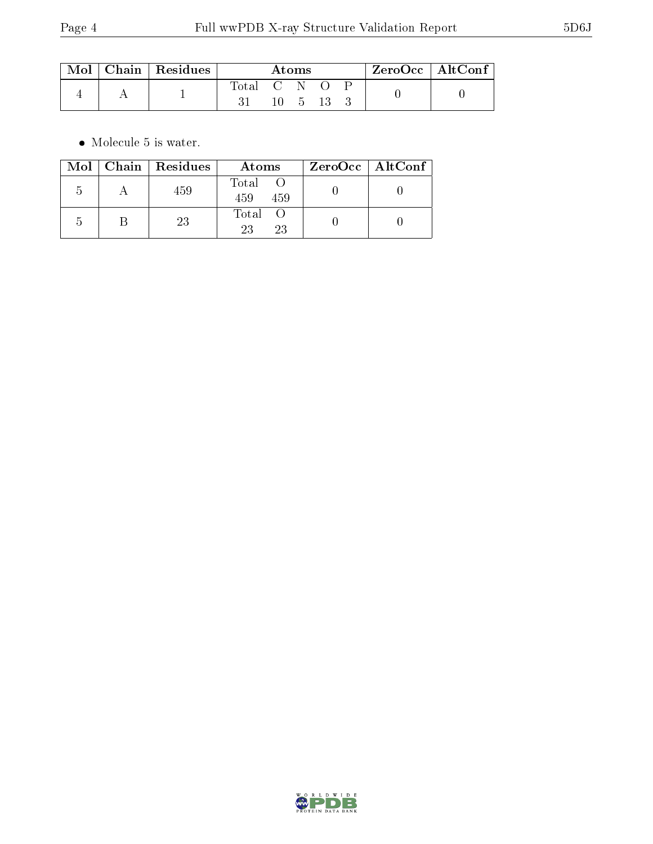|  | $\text{Mol}$   Chain   Residues | Atoms         |  |                       | † ZeroOcc∣AltConf∣ |  |  |  |
|--|---------------------------------|---------------|--|-----------------------|--------------------|--|--|--|
|  |                                 | Total C N O P |  | $10 \quad 5 \quad 13$ |                    |  |  |  |

 $\bullet\,$  Molecule 5 is water.

|               | Mol   Chain   Residues | Atoms               | ZeroOcc   AltConf |  |
|---------------|------------------------|---------------------|-------------------|--|
| .)            | 459                    | Total<br>459<br>459 |                   |  |
| $\mathcal{L}$ | 23                     | Total<br>23<br>23   |                   |  |

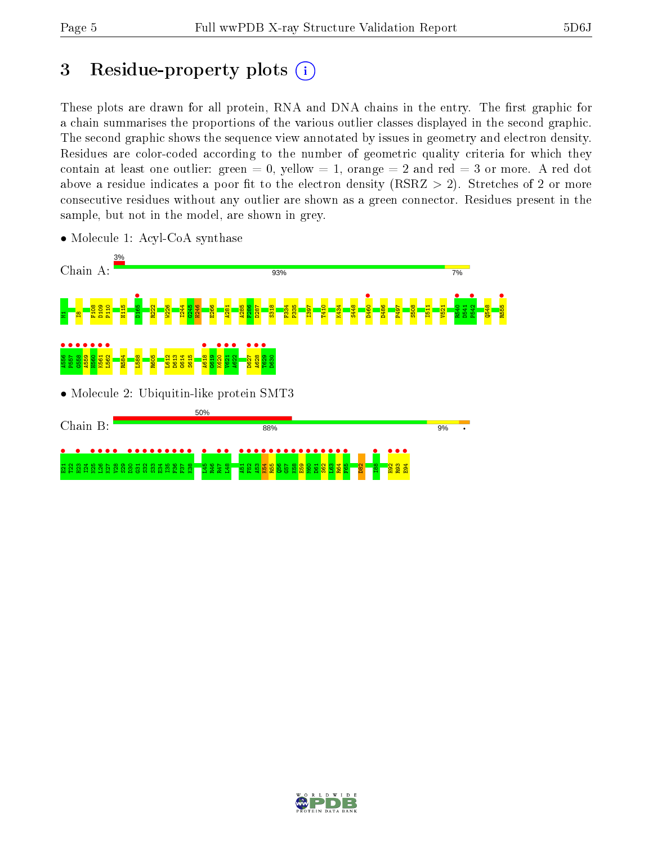# 3 Residue-property plots  $(i)$

These plots are drawn for all protein, RNA and DNA chains in the entry. The first graphic for a chain summarises the proportions of the various outlier classes displayed in the second graphic. The second graphic shows the sequence view annotated by issues in geometry and electron density. Residues are color-coded according to the number of geometric quality criteria for which they contain at least one outlier: green  $= 0$ , yellow  $= 1$ , orange  $= 2$  and red  $= 3$  or more. A red dot above a residue indicates a poor fit to the electron density (RSRZ  $> 2$ ). Stretches of 2 or more consecutive residues without any outlier are shown as a green connector. Residues present in the sample, but not in the model, are shown in grey.



• Molecule 1: Acyl-CoA synthase

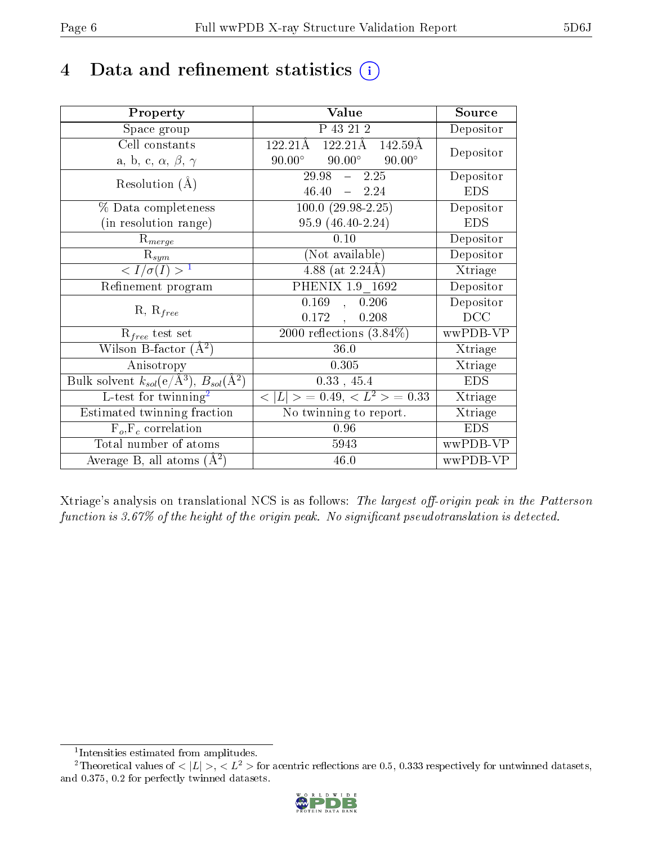# 4 Data and refinement statistics  $(i)$

| Property                                                         | Value                                             | Source     |
|------------------------------------------------------------------|---------------------------------------------------|------------|
| Space group                                                      | P 43 21 2                                         | Depositor  |
| Cell constants                                                   | 122.21Å<br>122.21Å<br>142.59Å                     | Depositor  |
| a, b, c, $\alpha,\,\beta,\,\gamma$                               | $90.00^{\circ}$<br>$90.00^\circ$<br>$90.00^\circ$ |            |
| Resolution $(A)$                                                 | $\overline{29.98}$ - 2.25                         | Depositor  |
|                                                                  | $46.40 - 2.24$                                    | <b>EDS</b> |
| % Data completeness                                              | $100.0 (29.98 - 2.25)$                            | Depositor  |
| (in resolution range)                                            | 95.9 (46.40-2.24)                                 | <b>EDS</b> |
| $R_{merge}$                                                      | 0.10                                              | Depositor  |
| $\mathbf{R}_{sym}$                                               | (Not available)                                   | Depositor  |
| $\sqrt{I/\sigma}(I) > 1$                                         | 4.88 (at $2.24\text{\AA}$ )                       | Xtriage    |
| Refinement program                                               | PHENIX 1.9 1692                                   | Depositor  |
| $R, R_{free}$                                                    | 0.169<br>, 0.206                                  | Depositor  |
|                                                                  | 0.172,<br>0.208                                   | DCC        |
| $R_{free}$ test set                                              | $\overline{2000}$ reflections $(3.84\%)$          | wwPDB-VP   |
| Wilson B-factor $(A^2)$                                          | 36.0                                              | Xtriage    |
| Anisotropy                                                       | 0.305                                             | Xtriage    |
| Bulk solvent $k_{sol}(\text{e}/\text{A}^3), B_{sol}(\text{A}^2)$ | 0.33, 45.4                                        | <b>EDS</b> |
| L-test for twinning <sup>2</sup>                                 | $< L >$ = 0.49, $< L2$ > = 0.33                   | Xtriage    |
| Estimated twinning fraction                                      | No twinning to report.                            | Xtriage    |
| $\overline{F_o}, \overline{F_c}$ correlation                     | 0.96                                              | <b>EDS</b> |
| Total number of atoms                                            | 5943                                              | wwPDB-VP   |
| Average B, all atoms $(A^2)$                                     | 46.0                                              | wwPDB-VP   |

Xtriage's analysis on translational NCS is as follows: The largest off-origin peak in the Patterson function is  $3.67\%$  of the height of the origin peak. No significant pseudotranslation is detected.

<sup>&</sup>lt;sup>2</sup>Theoretical values of  $\langle |L| \rangle$ ,  $\langle L^2 \rangle$  for acentric reflections are 0.5, 0.333 respectively for untwinned datasets, and 0.375, 0.2 for perfectly twinned datasets.



<span id="page-5-1"></span><span id="page-5-0"></span><sup>1</sup> Intensities estimated from amplitudes.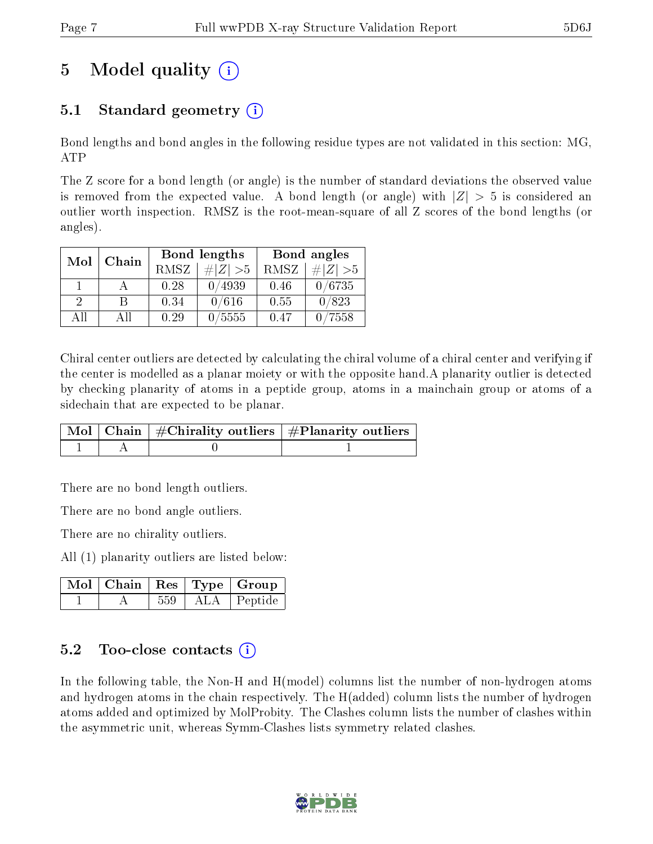# 5 Model quality  $(i)$

# 5.1 Standard geometry (i)

Bond lengths and bond angles in the following residue types are not validated in this section: MG, ATP

The Z score for a bond length (or angle) is the number of standard deviations the observed value is removed from the expected value. A bond length (or angle) with  $|Z| > 5$  is considered an outlier worth inspection. RMSZ is the root-mean-square of all Z scores of the bond lengths (or angles).

| Mol                         | Chain |      | Bond lengths | Bond angles |             |  |
|-----------------------------|-------|------|--------------|-------------|-------------|--|
|                             |       | RMSZ | $\# Z  > 5$  | RMSZ        | # $ Z  > 5$ |  |
|                             |       | 0.28 | 0/4939       | 0.46        | 0/6735      |  |
| $\mathcal{D}_{\mathcal{L}}$ | R     | 0.34 | 0/616        | 0.55        | 0/823       |  |
| AΠ                          | A 11  | 0.29 | 0/5555       | 0.47        | 7558        |  |

Chiral center outliers are detected by calculating the chiral volume of a chiral center and verifying if the center is modelled as a planar moiety or with the opposite hand.A planarity outlier is detected by checking planarity of atoms in a peptide group, atoms in a mainchain group or atoms of a sidechain that are expected to be planar.

|  | $\mid$ Mol $\mid$ Chain $\mid$ #Chirality outliers $\mid$ #Planarity outliers $\mid$ |
|--|--------------------------------------------------------------------------------------|
|  |                                                                                      |

There are no bond length outliers.

There are no bond angle outliers.

There are no chirality outliers.

All (1) planarity outliers are listed below:

|  |     |        | $\mid$ Mol $\mid$ Chain $\mid$ Res $\mid$ Type $\mid$ Group |  |
|--|-----|--------|-------------------------------------------------------------|--|
|  | 559 | -ALA - | Peptide                                                     |  |

### $5.2$  Too-close contacts  $\overline{()}$

In the following table, the Non-H and H(model) columns list the number of non-hydrogen atoms and hydrogen atoms in the chain respectively. The H(added) column lists the number of hydrogen atoms added and optimized by MolProbity. The Clashes column lists the number of clashes within the asymmetric unit, whereas Symm-Clashes lists symmetry related clashes.

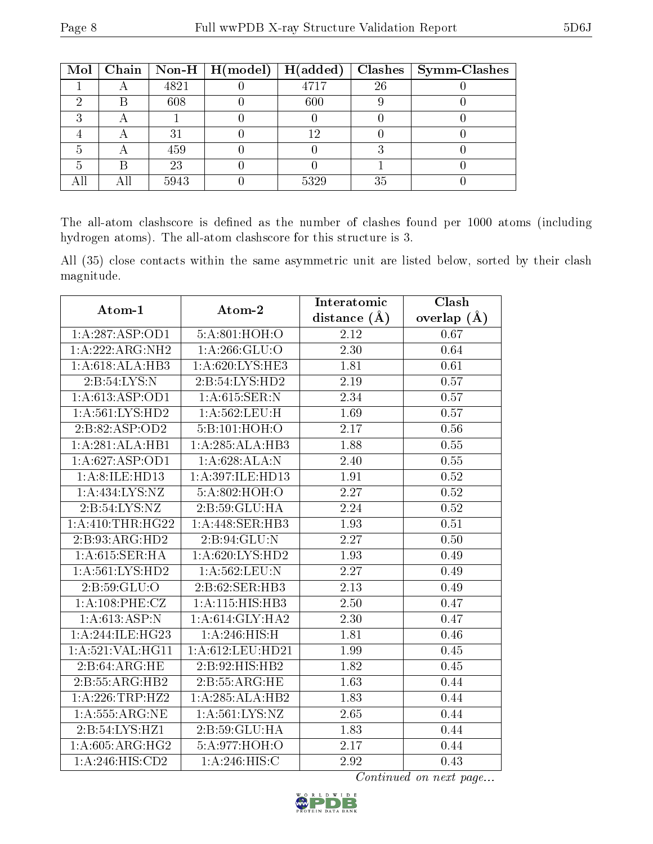| Mol |      | Chain   Non-H   $H (model)$ | H(added) |    | $Clashes$   Symm-Clashes |
|-----|------|-----------------------------|----------|----|--------------------------|
|     | 4821 |                             | 4717     | 26 |                          |
|     | 608  |                             | 600      |    |                          |
| ച   |      |                             |          |    |                          |
|     | 31   |                             | 1 ດ      |    |                          |
|     | 459  |                             |          |    |                          |
|     | 23   |                             |          |    |                          |
|     | 5943 |                             | 5329     | 35 |                          |

The all-atom clashscore is defined as the number of clashes found per 1000 atoms (including hydrogen atoms). The all-atom clashscore for this structure is 3.

All (35) close contacts within the same asymmetric unit are listed below, sorted by their clash magnitude.

| Atom-1              | Atom-2             | Interatomic       | Clash             |  |
|---------------------|--------------------|-------------------|-------------------|--|
|                     |                    | distance $(\AA)$  | overlap $(A)$     |  |
| 1:A:287:ASP:OD1     | 5:A:801:HOH:O      | 2.12              | 0.67              |  |
| 1:A:222:ARG:NH2     | 1: A:266: GLU:O    | 2.30              | 0.64              |  |
| 1:A:618:ALA:HB3     | 1:A:620:LYS:HE3    | 1.81              | 0.61              |  |
| 2: B: 54: LYS: N    | 2:B:54:LYS:HD2     | 2.19              | $\overline{0.57}$ |  |
| 1: A:613: ASP:OD1   | 1: A:615: SER: N   | 2.34              | 0.57              |  |
| 1: A:561:LYS:HD2    | 1:A:562:LEU:H      | 1.69              | 0.57              |  |
| 2:B:82:ASP:OD2      | 5:B:101:HOH:O      | 2.17              | 0.56              |  |
| 1:A:281:ALA:HB1     | 1:A:285:ALA:HB3    | 1.88              | $0.55\,$          |  |
| 1: A:627: ASP:OD1   | 1:A:628:ALA:N      | 2.40              | 0.55              |  |
| 1: A:8: ILE: HD13   | 1:A:397:ILE:HD13   | 1.91              | 0.52              |  |
| 1:A:434:LYS:NZ      | 5:A:802:HOH:O      | 2.27              | 0.52              |  |
| 2:B:54:LYS:NZ       | 2:B:59:GLU:HA      | 2.24              | 0.52              |  |
| 1: A:410:THR:HG22   | 1:A:448:SER:HB3    | 1.93              | 0.51              |  |
| 2:B:93:ARG:HD2      | 2: B: 94: GLU:N    | $\overline{2.27}$ | 0.50              |  |
| 1: A:615: SER: HA   | 1: A:620: LYS: HD2 | 1.93              | 0.49              |  |
| 1: A:561:LYS:HD2    | 1:A:562:LEU:N      | $\overline{2.27}$ | 0.49              |  |
| 2: B:59: GLU:O      | 2:B:62:SER:HB3     | 2.13              | 0.49              |  |
| 1:A:108:PHE:CZ      | 1:A:115:HIS:HB3    | 2.50              | 0.47              |  |
| 1:A:613:ASP:N       | 1: A:614: GLY:HA2  | 2.30              | 0.47              |  |
| 1:A:244:ILE:HG23    | 1:A:246:HIS:H      | 1.81              | 0.46              |  |
| 1: A:521: VAL: HG11 | 1: A:612:LEU:HD21  | 1.99              | 0.45              |  |
| 2:B:64:ARG:HE       | 2:B:92:HIS:HB2     | 1.82              | 0.45              |  |
| 2:B:55:ARG:HB2      | 2:B:55:ARG:HE      | 1.63              | 0.44              |  |
| $1:$ A:226:TRP:HZ2  | 1:A:285:ALA:HB2    | 1.83              | 0.44              |  |
| 1: A: 555: ARG: NE  | 1: A:561: LYS: NZ  | 2.65              | 0.44              |  |
| 2:B:54:LYS:HZ1      | 2:B:59:GLU:HA      | 1.83              | 0.44              |  |
| 1: A:605: ARG: HG2  | 5:A:977:HOH:O      | 2.17              | 0.44              |  |
| 1:A:246:HIS:CD2     | 1: A:246:HIS:C     | 2.92              | 0.43              |  |

Continued on next page...

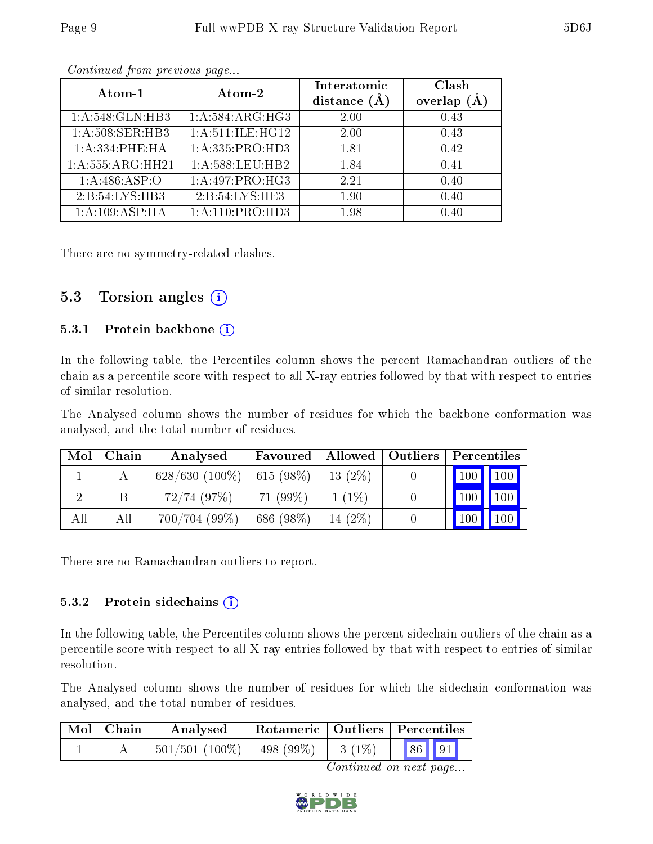| Atom-1             | Atom-2              | Interatomic<br>distance $(A)$ | Clash<br>$(\AA)$<br>overlap |
|--------------------|---------------------|-------------------------------|-----------------------------|
| 1:A:548:GLN:HB3    | 1:A:584:ARG:HG3     | 2.00                          | 0.43                        |
| 1: A:508: SER: HB3 | 1: A:511: ILE: HG12 | 2.00                          | 0.43                        |
| 1:A:334:PHE:HA     | 1: A: 335: PRO: HD3 | 1.81                          | 0.42                        |
| 1:A:555:ARG:HH21   | 1: A:588:LEU:HB2    | 1.84                          | 0.41                        |
| 1: A:486: ASP:O    | 1:A:497:PRO:HG3     | 2.21                          | 0.40                        |
| 2:B:54:LYS:HB3     | 2:B:54:LYS:HE3      | 1.90                          | 0.40                        |
| 1:A:109:ASP:HA     | 1: A:110:PRO:HD3    | 1.98                          | 0.40                        |

Continued from previous page...

There are no symmetry-related clashes.

### 5.3 Torsion angles (i)

#### 5.3.1 Protein backbone  $(i)$

In the following table, the Percentiles column shows the percent Ramachandran outliers of the chain as a percentile score with respect to all X-ray entries followed by that with respect to entries of similar resolution.

The Analysed column shows the number of residues for which the backbone conformation was analysed, and the total number of residues.

| Mol | Chain | Analysed         | Favoured   Allowed   Outliers |           | Percentiles |                                 |
|-----|-------|------------------|-------------------------------|-----------|-------------|---------------------------------|
|     |       | $628/630(100\%)$ | $615(98\%)$                   | $13(2\%)$ | 100 100     |                                 |
|     |       | 72/74(97%)       | $71(99\%)$                    | $1(1\%)$  | $100$ 100   |                                 |
| All | Αll   | 700/704(99%)     | 686 (98%)                     | $14(2\%)$ |             | $\vert$ 100 $\vert$ 100 $\vert$ |

There are no Ramachandran outliers to report.

#### 5.3.2 Protein sidechains (i)

In the following table, the Percentiles column shows the percent sidechain outliers of the chain as a percentile score with respect to all X-ray entries followed by that with respect to entries of similar resolution.

The Analysed column shows the number of residues for which the sidechain conformation was analysed, and the total number of residues.

| Mol   Chain | Rotameric   Outliers   Percentiles<br>Analysed |  |          |       |  |
|-------------|------------------------------------------------|--|----------|-------|--|
|             | $501/501$ (100\%)   498 (99\%)                 |  | $3(1\%)$ | 86 91 |  |

Continued on next page...

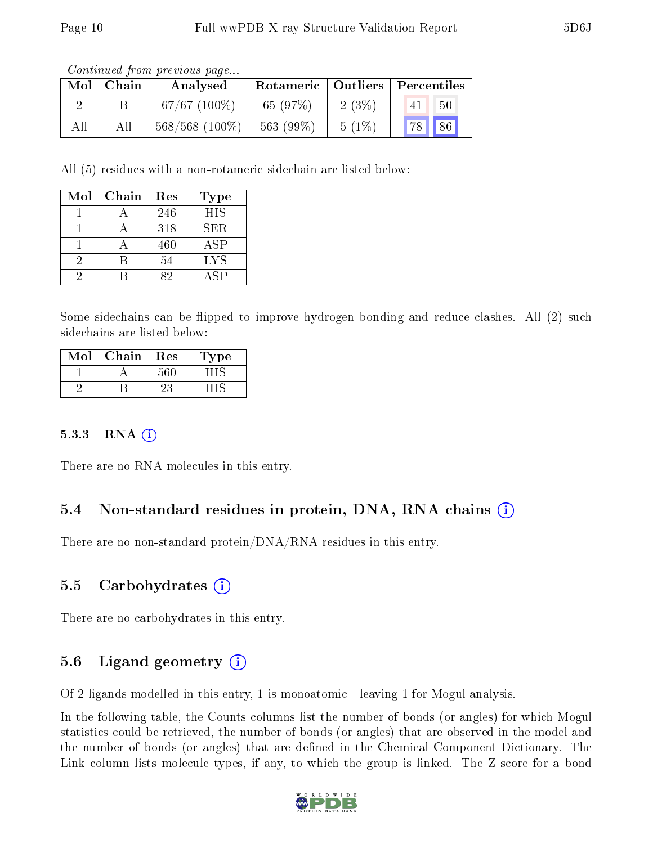Continued from previous page...

| Mol | Chain | Analysed          |           |          | Rotameric   Outliers   Percentiles |
|-----|-------|-------------------|-----------|----------|------------------------------------|
|     |       | $67/67$ $(100\%)$ | 65 (97%)  | $2(3\%)$ | 50<br>41                           |
| All |       | $568/568$ (100\%) | 563 (99%) | $5(1\%)$ | 86<br> 78                          |

All (5) residues with a non-rotameric sidechain are listed below:

| Mol | Chain | Res | <b>Type</b> |
|-----|-------|-----|-------------|
|     |       | 246 | <b>HIS</b>  |
|     |       | 318 | <b>SER</b>  |
|     |       | 460 | ASP         |
| 9.  |       | 54  | <b>LYS</b>  |
| ٠,  |       | 29  | A SP        |

Some sidechains can be flipped to improve hydrogen bonding and reduce clashes. All (2) such sidechains are listed below:

| Mol | Chain | Res | 1'ype |
|-----|-------|-----|-------|
|     |       | 560 |       |
|     |       |     |       |

#### $5.3.3$  RNA  $(i)$

There are no RNA molecules in this entry.

### 5.4 Non-standard residues in protein, DNA, RNA chains (i)

There are no non-standard protein/DNA/RNA residues in this entry.

### 5.5 Carbohydrates (i)

There are no carbohydrates in this entry.

### 5.6 Ligand geometry  $(i)$

Of 2 ligands modelled in this entry, 1 is monoatomic - leaving 1 for Mogul analysis.

In the following table, the Counts columns list the number of bonds (or angles) for which Mogul statistics could be retrieved, the number of bonds (or angles) that are observed in the model and the number of bonds (or angles) that are dened in the Chemical Component Dictionary. The Link column lists molecule types, if any, to which the group is linked. The Z score for a bond

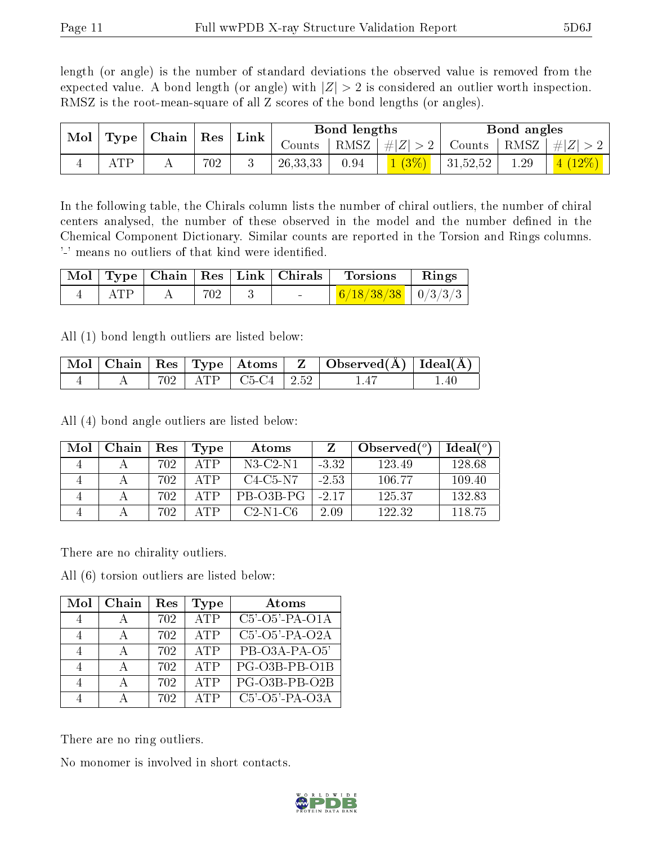length (or angle) is the number of standard deviations the observed value is removed from the expected value. A bond length (or angle) with  $|Z| > 2$  is considered an outlier worth inspection. RMSZ is the root-mean-square of all Z scores of the bond lengths (or angles).

| Mol |     | $\operatorname{Res}$<br>$\mid$ Type $\mid$ Chain $\mid$ |     | $^{\circ}$ Link | Bond lengths |      |          | Bond angles   |      |                           |
|-----|-----|---------------------------------------------------------|-----|-----------------|--------------|------|----------|---------------|------|---------------------------|
|     |     |                                                         |     |                 | Counts       | RMSZ | #Z  > 2  | Counts   RMSZ |      | $\# Z $                   |
|     | ATP |                                                         | 702 |                 | 26, 33, 33   | 0.94 | $1(3\%)$ | 31,52,52      | 1.29 | $12\%$<br>$\vert 4 \vert$ |

In the following table, the Chirals column lists the number of chiral outliers, the number of chiral centers analysed, the number of these observed in the model and the number defined in the Chemical Component Dictionary. Similar counts are reported in the Torsion and Rings columns. '-' means no outliers of that kind were identified.

|     |     |                                   | $\vert$ Mol $\vert$ Type $\vert$ Chain $\vert$ Res $\vert$ Link $\vert$ Chirals $\vert$ Torsions | $\parallel$ Rings |
|-----|-----|-----------------------------------|--------------------------------------------------------------------------------------------------|-------------------|
| ATP | 702 | <b>Contract Contract Contract</b> | $\frac{6}{18/38/38}$   0/3/3/3                                                                   |                   |

All (1) bond length outliers are listed below:

|  |  |                                | $\mid$ Mol $\mid$ Chain $\mid$ Res $\mid$ Type $\mid$ Atoms $\mid$ Z $\mid$ Observed(A) $\mid$ Ideal(A) $\mid$ |        |
|--|--|--------------------------------|----------------------------------------------------------------------------------------------------------------|--------|
|  |  | $A$   702   ATP   C5-C4   2.52 | 1.47                                                                                                           | $-140$ |

All (4) bond angle outliers are listed below:

| Mol | Chain | Res | Type               | Atoms                                          |         | Observed $(°)$ | $Ideal(^{\circ})$ |
|-----|-------|-----|--------------------|------------------------------------------------|---------|----------------|-------------------|
|     |       | 702 | ATP                | $N3$ -C2-N1                                    | $-3.32$ | 123.49         | 128.68            |
|     |       | 702 | ATP                | C <sub>4</sub> -C <sub>5</sub> -N <sub>7</sub> | $-2.53$ | 106.77         | 109.40            |
|     |       | 702 | $\Delta \text{TP}$ | PB-03B-PG                                      | $-2.17$ | 125.37         | 132.83            |
|     |       | 702 | Δ'PP               | $C2-N1-C6$                                     | 2.09    | 122.32         | 118.75            |

There are no chirality outliers.

All (6) torsion outliers are listed below:

| Mol | Chain | $\operatorname{Res}% \left( \mathcal{N}\right) \equiv\operatorname{Res}(\mathcal{N}_{0},\mathcal{N}_{0})$ | <b>Type</b> | Atoms             |
|-----|-------|-----------------------------------------------------------------------------------------------------------|-------------|-------------------|
|     |       | 702                                                                                                       | <b>ATP</b>  | $C5'$ -O5'-PA-O1A |
|     |       | 702                                                                                                       | ATP         | $C5'$ -O5'-PA-O2A |
|     |       | 702                                                                                                       | <b>ATP</b>  | PB-O3A-PA-O5'     |
|     |       | 702                                                                                                       | ATP         | PG-O3B-PB-O1B     |
|     |       | 702                                                                                                       | ATP         | PG-O3B-PB-O2B     |
|     |       | 702                                                                                                       | ATP         | $C5'$ -O5'-PA-O3A |

There are no ring outliers.

No monomer is involved in short contacts.

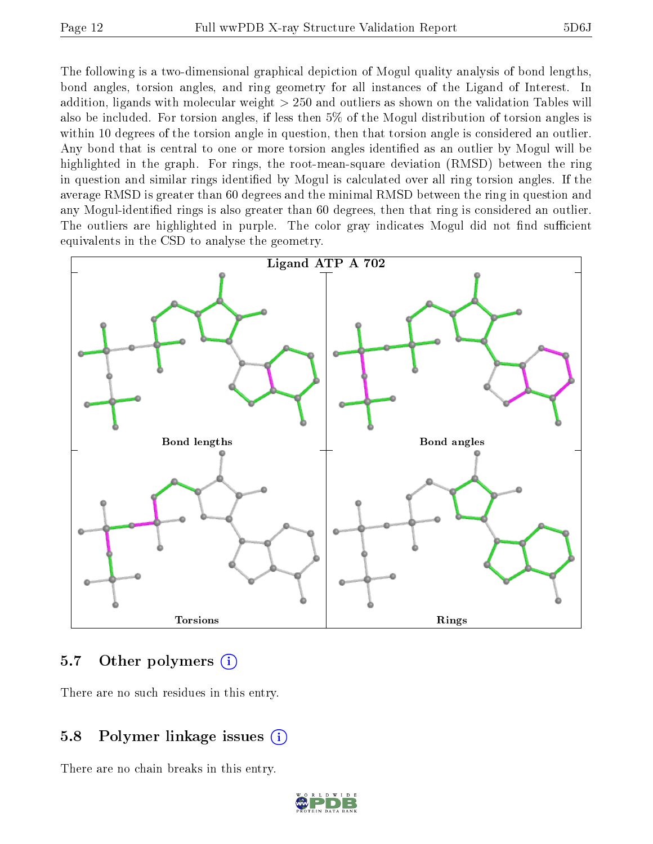The following is a two-dimensional graphical depiction of Mogul quality analysis of bond lengths, bond angles, torsion angles, and ring geometry for all instances of the Ligand of Interest. In addition, ligands with molecular weight > 250 and outliers as shown on the validation Tables will also be included. For torsion angles, if less then 5% of the Mogul distribution of torsion angles is within 10 degrees of the torsion angle in question, then that torsion angle is considered an outlier. Any bond that is central to one or more torsion angles identified as an outlier by Mogul will be highlighted in the graph. For rings, the root-mean-square deviation (RMSD) between the ring in question and similar rings identified by Mogul is calculated over all ring torsion angles. If the average RMSD is greater than 60 degrees and the minimal RMSD between the ring in question and any Mogul-identified rings is also greater than 60 degrees, then that ring is considered an outlier. The outliers are highlighted in purple. The color gray indicates Mogul did not find sufficient equivalents in the CSD to analyse the geometry.



#### 5.7 [O](https://www.wwpdb.org/validation/2017/XrayValidationReportHelp#nonstandard_residues_and_ligands)ther polymers (i)

There are no such residues in this entry.

#### 5.8 Polymer linkage issues (i)

There are no chain breaks in this entry.

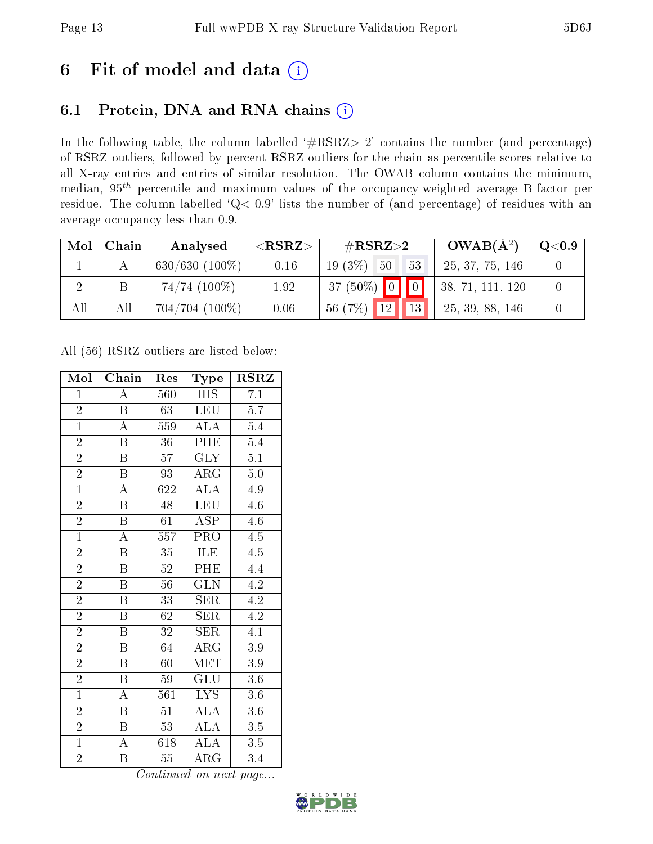# 6 Fit of model and data  $(i)$

# 6.1 Protein, DNA and RNA chains  $(i)$

In the following table, the column labelled  $#RSRZ> 2'$  contains the number (and percentage) of RSRZ outliers, followed by percent RSRZ outliers for the chain as percentile scores relative to all X-ray entries and entries of similar resolution. The OWAB column contains the minimum, median,  $95<sup>th</sup>$  percentile and maximum values of the occupancy-weighted average B-factor per residue. The column labelled ' $Q< 0.9$ ' lists the number of (and percentage) of residues with an average occupancy less than 0.9.

| Mol | Chain | Analysed            | ${ <\hspace{-1.5pt}{\mathrm{RSRZ}} \hspace{-1.5pt}>}$ | $\#\text{RSRZ}\text{>2}$   | $OWAB(A^2)$      | $\rm Q\textcolor{black}{<}0.9$ |
|-----|-------|---------------------|-------------------------------------------------------|----------------------------|------------------|--------------------------------|
|     |       | $630/630$ $(100\%)$ | $-0.16$                                               | $19(3\%)$ 50<br>53         | 25, 37, 75, 146  |                                |
|     |       | $74/74$ $(100\%)$   | 1.92                                                  | $37(50\%)$ 0 0             | 38, 71, 111, 120 |                                |
| All | Αll   | $704/704$ (100\%)   | 0.06                                                  | $\sqrt{13}$<br>$56(7%)$ 12 | 25, 39, 88, 146  |                                |

All (56) RSRZ outliers are listed below:

| Mol            | Chain                   | Res              | Type                    | <b>RSRZ</b>      |
|----------------|-------------------------|------------------|-------------------------|------------------|
| $\mathbf{1}$   | Ā                       | 560              | <b>HIS</b>              | 7.1              |
| $\overline{2}$ | B                       | 63               | <b>LEU</b>              | $\overline{5.7}$ |
| $\overline{1}$ | $\overline{\rm A}$      | 559              | $\overline{\rm ALA}$    | 5.4              |
| $\overline{2}$ | $\boldsymbol{B}$        | 36               | PHE                     | $5.4\,$          |
| $\overline{2}$ | $\overline{\mathrm{B}}$ | $\overline{57}$  | <b>GLY</b>              | $\overline{5.1}$ |
| $\overline{2}$ | $\boldsymbol{B}$        | 93               | ARG                     | $\overline{5.0}$ |
| $\overline{1}$ | $\overline{\rm A}$      | 622              | $\widehat{\text{ALA}}$  | 4.9              |
| $\overline{2}$ | $\overline{\mathbf{B}}$ | 48               | <b>LEU</b>              | $4.6\,$          |
| $\overline{2}$ | $\overline{\mathbf{B}}$ | 61               | <b>ASP</b>              | $4.6\,$          |
| $\overline{1}$ | $\overline{\rm A}$      | $\overline{557}$ | $\overline{\text{PRO}}$ | 4.5              |
| $\overline{2}$ | $\overline{\mathrm{B}}$ | 35               | <b>ILE</b>              | $\overline{4.5}$ |
| $\overline{2}$ | $\overline{\mathrm{B}}$ | $\overline{52}$  | $\overline{\rm PHE}$    | 4.4              |
| $\overline{2}$ | $\overline{B}$          | 56               | $\overline{\text{GLN}}$ | 4.2              |
| $\overline{2}$ | $\boldsymbol{B}$        | 33               | <b>SER</b>              | 4.2              |
| $\overline{2}$ | $\overline{\mathrm{B}}$ | $\overline{62}$  | SER                     | $\overline{4.2}$ |
| $\overline{2}$ | $\boldsymbol{B}$        | 32               | SER                     | $\overline{4.1}$ |
| $\overline{2}$ | $\overline{\mathrm{B}}$ | $\overline{64}$  | $\overline{\rm{ARG}}$   | $\overline{3.9}$ |
| $\overline{2}$ | $\overline{B}$          | 60               | $\textrm{MET}$          | 3.9              |
| $\overline{2}$ | $\boldsymbol{B}$        | 59               | <b>GLU</b>              | 3.6              |
| $\overline{1}$ | A                       | 561              | IYS                     | $3.6\,$          |
| $\overline{2}$ | $\boldsymbol{B}$        | 51               | <b>ALA</b>              | 3.6              |
| $\overline{2}$ | $\boldsymbol{B}$        | 53               | $\rm ALA$               | $3.5\,$          |
| $\overline{1}$ | A                       | 618              | $\overline{A}LA$        | $3.5\,$          |
| $\overline{2}$ | B                       | 55               | $\rm{ARG}$              | 3.4              |

Continued on next page...

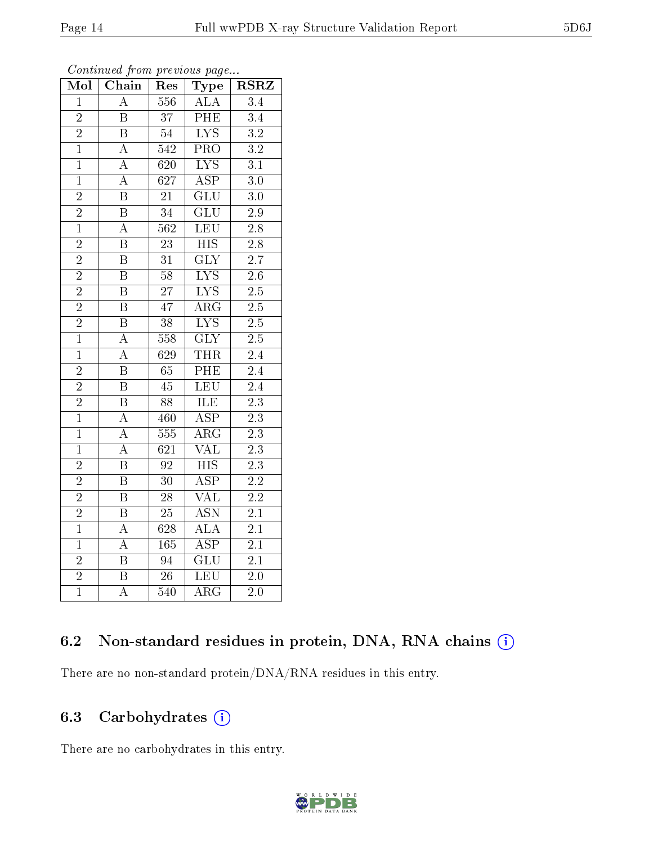| Mol            | Chain                   | Res              | Type                      | <b>RSRZ</b>      |
|----------------|-------------------------|------------------|---------------------------|------------------|
| $\overline{1}$ | $\overline{\rm A}$      | 556              | $\overline{\rm ALA}$      | 3.4              |
| $\overline{2}$ | $\overline{\mathrm{B}}$ | $\overline{37}$  | PHE                       | $\overline{3.4}$ |
| $\overline{2}$ | $\overline{\mathrm{B}}$ | $\overline{54}$  | $\overline{\text{LYS}}$   | $\overline{3.2}$ |
| $\overline{1}$ | $\overline{\rm A}$      | 542              | $\overline{\text{PRO}}$   | $\overline{3.2}$ |
| $\overline{1}$ | $\overline{\rm A}$      | 620              | $\overline{\text{LYS}}$   | $\overline{3.1}$ |
| $\overline{1}$ | $\overline{\rm A}$      | $\overline{627}$ | $\overline{\text{ASP}}$   | $\overline{3.0}$ |
| $\overline{2}$ | $\overline{\mathrm{B}}$ | 21               | $\overline{\text{GLU}}$   | 3.0              |
| $\frac{2}{1}$  | $\overline{\mathrm{B}}$ | $\overline{34}$  | $\overline{\text{GLU}}$   | $2.9\,$          |
|                | $\boldsymbol{A}$        | 562              | LEU                       | $2.8\,$          |
| $\overline{2}$ | $\overline{\mathrm{B}}$ | $\overline{23}$  | $\overline{HIS}$          | $\overline{2.8}$ |
| $\overline{2}$ | $\overline{\mathrm{B}}$ | 31               | $\overline{\text{GLY}}$   | 2.7              |
| $\overline{2}$ | $\overline{\mathrm{B}}$ | $\overline{58}$  | $\overline{\mathrm{LYS}}$ | $\overline{2.6}$ |
| $\overline{2}$ | $\overline{\mathrm{B}}$ | $\overline{27}$  | $\overline{\text{LYS}}$   | $\overline{2.5}$ |
| $\overline{2}$ | $\overline{\mathrm{B}}$ | $\overline{47}$  | $\widehat{ARG}$           | $\overline{2.5}$ |
| $\overline{2}$ | $\overline{\mathrm{B}}$ | $\overline{38}$  | $\overline{\text{LYS}}$   | $\overline{2.5}$ |
| $\overline{1}$ | $\overline{\rm A}$      | 558              | $\overline{\text{GLY}}$   | $2.5\,$          |
| $\overline{1}$ | $\overline{\rm A}$      | $\overline{629}$ | <b>THR</b>                | $\overline{2.4}$ |
| $\overline{2}$ | $\overline{\mathrm{B}}$ | 65               | PHE                       | 2.4              |
| $\overline{2}$ | $\overline{\mathrm{B}}$ | 45               | LEU                       | 2.4              |
| $\overline{2}$ | $\overline{\mathrm{B}}$ | 88               | ILE                       | $\overline{2.3}$ |
| $\overline{1}$ | $\overline{\rm A}$      | 460              | $\overline{\text{ASP}}$   | $\overline{2.3}$ |
| $\overline{1}$ | $\overline{\rm A}$      | $\overline{555}$ | $\overline{\rm{ARG}}$     | $\overline{2.3}$ |
| $\mathbf{1}$   | $\overline{\rm A}$      | 621              | $\overline{\text{VAL}}$   | $\overline{2.3}$ |
| $\overline{2}$ | $\overline{\mathrm{B}}$ | $\overline{92}$  | $\overline{HIS}$          | $\overline{2.3}$ |
| $\overline{2}$ | $\overline{\mathrm{B}}$ | $\overline{30}$  | $\overline{\text{ASP}}$   | $\overline{2.2}$ |
| $\overline{2}$ | $\overline{\mathrm{B}}$ | 28               | $\overline{\text{VAL}}$   | $2.2\,$          |
| $\overline{2}$ | $\overline{\mathrm{B}}$ | 25               | $\overline{\text{ASN}}$   | $\overline{2.1}$ |
| $\mathbf{1}$   | $\boldsymbol{A}$        | 628              | ALA                       | $\overline{2}.1$ |
| $\overline{1}$ | $\overline{\rm A}$      | 165              | $\overline{\rm ASP}$      | $2.1\,$          |
| $\overline{2}$ | $\overline{B}$          | 94               | $\overline{\text{GLU}}$   | $\overline{2.1}$ |
| $\overline{2}$ | $\overline{\mathrm{B}}$ | $\overline{26}$  | <b>LEU</b>                | $\overline{2.0}$ |
| $\overline{1}$ | $\overline{\rm A}$      | 540              | $\overline{\rm{ARG}}$     | $\overline{2}.0$ |

Continued from previous page...

# 6.2 Non-standard residues in protein, DNA, RNA chains (i)

There are no non-standard protein/DNA/RNA residues in this entry.

### 6.3 Carbohydrates (i)

There are no carbohydrates in this entry.